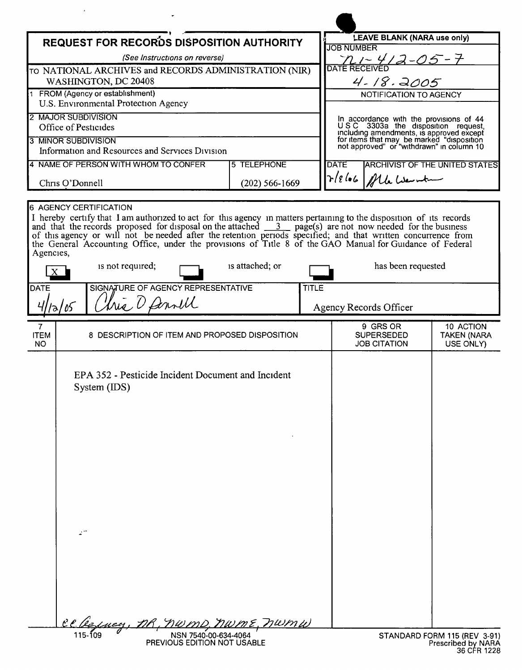| <b>LEAVE BLANK (NARA use only)</b><br><b>REQUEST FOR RECORDS DISPOSITION AUTHORITY</b><br><b>JOB NUMBER</b><br>(See Instructions on reverse)<br>$4 - 18.2005$<br>WASHINGTON, DC 20408<br>1 FROM (Agency or establishment)<br><b>NOTIFICATION TO AGENCY</b><br>U.S. Environmental Protection Agency<br>In accordance with the provisions of 44<br>USC 3303a the disposition request,<br>Office of Pesticides<br>including amendments, is approved except<br>for items that may be marked "disposition<br>not approved" or "withdrawn" in column 10<br>Information and Resources and Services Division<br>4 NAME OF PERSON WITH WHOM TO CONFER<br><b>5 TELEPHONE</b><br><b>DATE</b><br>$Tr18106$ / Mb Wernt<br>Chris O'Donnell<br>$(202) 566 - 1669$<br>6 AGENCY CERTIFICATION<br>I hereby certify that I am authorized to act for this agency in matters pertaining to the disposition of its records<br>and that the records proposed for disposal on the attached $\frac{3}{2}$ page(s) are not now needed for the<br>of this agency or will not be needed after the retention periods specified; and that written concurrence from<br>the General Accounting Office, under the provisions of Title 8 of the GAO Manual for Guidance of Federal<br>Agencies,<br>is attached; or<br>is not required;<br>has been requested<br>SIGNATURE OF AGENCY REPRESENTATIVE<br><b>DATE</b><br><b>TITLE</b><br>this D famill<br>/२/०५<br>Agency Records Officer<br>9 GRS OR<br>10 ACTION<br>7<br><b>ITEM</b><br>8 DESCRIPTION OF ITEM AND PROPOSED DISPOSITION<br><b>SUPERSEDED</b><br><b>TAKEN (NARA</b><br><b>JOB CITATION</b><br>USE ONLY)<br>NO<br>EPA 352 - Pesticide Incident Document and Incident<br>System (IDS)<br>Lucy, DR, NWMD, NWME, NWMW<br>NSN 7540-00-634-4064 |                                                       |  |  |  |  |  |
|---------------------------------------------------------------------------------------------------------------------------------------------------------------------------------------------------------------------------------------------------------------------------------------------------------------------------------------------------------------------------------------------------------------------------------------------------------------------------------------------------------------------------------------------------------------------------------------------------------------------------------------------------------------------------------------------------------------------------------------------------------------------------------------------------------------------------------------------------------------------------------------------------------------------------------------------------------------------------------------------------------------------------------------------------------------------------------------------------------------------------------------------------------------------------------------------------------------------------------------------------------------------------------------------------------------------------------------------------------------------------------------------------------------------------------------------------------------------------------------------------------------------------------------------------------------------------------------------------------------------------------------------------------------------------------------------------------------------------------------------------------------------|-------------------------------------------------------|--|--|--|--|--|
| <b>ARCHIVIST OF THE UNITED STATES</b><br>STANDARD FORM 115 (REV 3-91)                                                                                                                                                                                                                                                                                                                                                                                                                                                                                                                                                                                                                                                                                                                                                                                                                                                                                                                                                                                                                                                                                                                                                                                                                                                                                                                                                                                                                                                                                                                                                                                                                                                                                               |                                                       |  |  |  |  |  |
|                                                                                                                                                                                                                                                                                                                                                                                                                                                                                                                                                                                                                                                                                                                                                                                                                                                                                                                                                                                                                                                                                                                                                                                                                                                                                                                                                                                                                                                                                                                                                                                                                                                                                                                                                                     |                                                       |  |  |  |  |  |
|                                                                                                                                                                                                                                                                                                                                                                                                                                                                                                                                                                                                                                                                                                                                                                                                                                                                                                                                                                                                                                                                                                                                                                                                                                                                                                                                                                                                                                                                                                                                                                                                                                                                                                                                                                     | TO NATIONAL ARCHIVES and RECORDS ADMINISTRATION (NIR) |  |  |  |  |  |
|                                                                                                                                                                                                                                                                                                                                                                                                                                                                                                                                                                                                                                                                                                                                                                                                                                                                                                                                                                                                                                                                                                                                                                                                                                                                                                                                                                                                                                                                                                                                                                                                                                                                                                                                                                     |                                                       |  |  |  |  |  |
|                                                                                                                                                                                                                                                                                                                                                                                                                                                                                                                                                                                                                                                                                                                                                                                                                                                                                                                                                                                                                                                                                                                                                                                                                                                                                                                                                                                                                                                                                                                                                                                                                                                                                                                                                                     |                                                       |  |  |  |  |  |
|                                                                                                                                                                                                                                                                                                                                                                                                                                                                                                                                                                                                                                                                                                                                                                                                                                                                                                                                                                                                                                                                                                                                                                                                                                                                                                                                                                                                                                                                                                                                                                                                                                                                                                                                                                     | 2 MAJOR SUBDIVISION                                   |  |  |  |  |  |
|                                                                                                                                                                                                                                                                                                                                                                                                                                                                                                                                                                                                                                                                                                                                                                                                                                                                                                                                                                                                                                                                                                                                                                                                                                                                                                                                                                                                                                                                                                                                                                                                                                                                                                                                                                     |                                                       |  |  |  |  |  |
|                                                                                                                                                                                                                                                                                                                                                                                                                                                                                                                                                                                                                                                                                                                                                                                                                                                                                                                                                                                                                                                                                                                                                                                                                                                                                                                                                                                                                                                                                                                                                                                                                                                                                                                                                                     | 3 MINOR SUBDIVISION                                   |  |  |  |  |  |
|                                                                                                                                                                                                                                                                                                                                                                                                                                                                                                                                                                                                                                                                                                                                                                                                                                                                                                                                                                                                                                                                                                                                                                                                                                                                                                                                                                                                                                                                                                                                                                                                                                                                                                                                                                     |                                                       |  |  |  |  |  |
|                                                                                                                                                                                                                                                                                                                                                                                                                                                                                                                                                                                                                                                                                                                                                                                                                                                                                                                                                                                                                                                                                                                                                                                                                                                                                                                                                                                                                                                                                                                                                                                                                                                                                                                                                                     |                                                       |  |  |  |  |  |
|                                                                                                                                                                                                                                                                                                                                                                                                                                                                                                                                                                                                                                                                                                                                                                                                                                                                                                                                                                                                                                                                                                                                                                                                                                                                                                                                                                                                                                                                                                                                                                                                                                                                                                                                                                     |                                                       |  |  |  |  |  |
|                                                                                                                                                                                                                                                                                                                                                                                                                                                                                                                                                                                                                                                                                                                                                                                                                                                                                                                                                                                                                                                                                                                                                                                                                                                                                                                                                                                                                                                                                                                                                                                                                                                                                                                                                                     |                                                       |  |  |  |  |  |
|                                                                                                                                                                                                                                                                                                                                                                                                                                                                                                                                                                                                                                                                                                                                                                                                                                                                                                                                                                                                                                                                                                                                                                                                                                                                                                                                                                                                                                                                                                                                                                                                                                                                                                                                                                     |                                                       |  |  |  |  |  |
|                                                                                                                                                                                                                                                                                                                                                                                                                                                                                                                                                                                                                                                                                                                                                                                                                                                                                                                                                                                                                                                                                                                                                                                                                                                                                                                                                                                                                                                                                                                                                                                                                                                                                                                                                                     |                                                       |  |  |  |  |  |
|                                                                                                                                                                                                                                                                                                                                                                                                                                                                                                                                                                                                                                                                                                                                                                                                                                                                                                                                                                                                                                                                                                                                                                                                                                                                                                                                                                                                                                                                                                                                                                                                                                                                                                                                                                     |                                                       |  |  |  |  |  |
|                                                                                                                                                                                                                                                                                                                                                                                                                                                                                                                                                                                                                                                                                                                                                                                                                                                                                                                                                                                                                                                                                                                                                                                                                                                                                                                                                                                                                                                                                                                                                                                                                                                                                                                                                                     |                                                       |  |  |  |  |  |
| Prescribed by NARA                                                                                                                                                                                                                                                                                                                                                                                                                                                                                                                                                                                                                                                                                                                                                                                                                                                                                                                                                                                                                                                                                                                                                                                                                                                                                                                                                                                                                                                                                                                                                                                                                                                                                                                                                  | PREVIOUS EDITION NOT USABLE                           |  |  |  |  |  |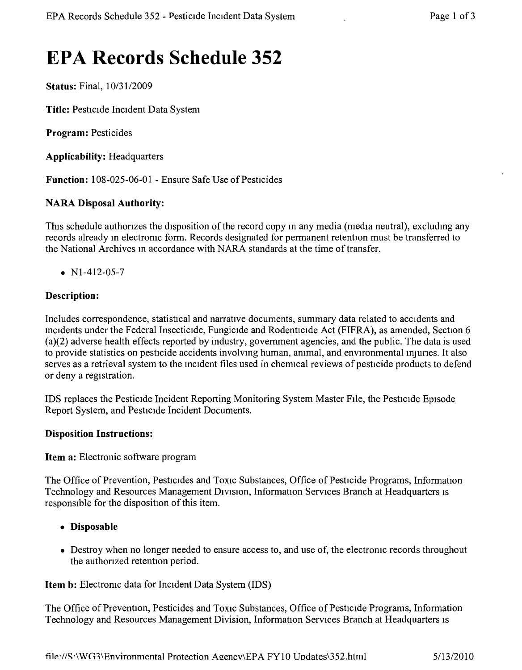# **EPA Records Schedule 352**

Status: Final, *10/3112009*

Title: Pesticide Incident Data System

Program: Pesticides

Applicability: Headquarters

Function: 108-025-06-01 - Ensure Safe Use of Pesticides

## NARA Disposal Authority:

This schedule authorizes the disposition of the record copy in any media (media neutral), excluding any records already in electronic form. Records designated for permanent retention must be transferred to the National Archives In accordance with NARA standards at the time of transfer.

•  $N1-412-05-7$ 

## Description:

Includes correspondence, statistical and narrative documents, summary data related to accidents and incidents under the Federal Insecticide, Fungicide and Rodenticide Act (FIFRA), as amended, Section 6 (a)(2) adverse health effects reported by industry, government agencies, and the public. The data is used to provide statistics on pesticide accidents involving human, animal, and environmental mjunes, It also serves as a retrieval system to the incident files used in cherrncal reviews of pesticide products to defend or deny a registration,

IDS replaces the Pesticide Incident Reporting Monitoring System Master FIle, the Pesticide Episode Report System, and Pesticide Incident Documents.

#### Disposition Instructions:

Item a: Electronic software program

The Office of Prevention, Pesticides and Toxic Substances, Office of Pesticide Programs, Information Technology and Resources Management Division, Information Services Branch at Headquarters is responsible for the disposition of this item.

- • Disposable
- Destroy when no longer needed to ensure access to, and use of, the electronic records throughout the authonzed retention period.

Item b: Electronic data for Incident Data System (IDS)

The Office of Prevention, Pesticides and Toxic Substances, Office of Pesticide Programs, Information Technology and Resources Management Division, Information Services Branch at Headquarters IS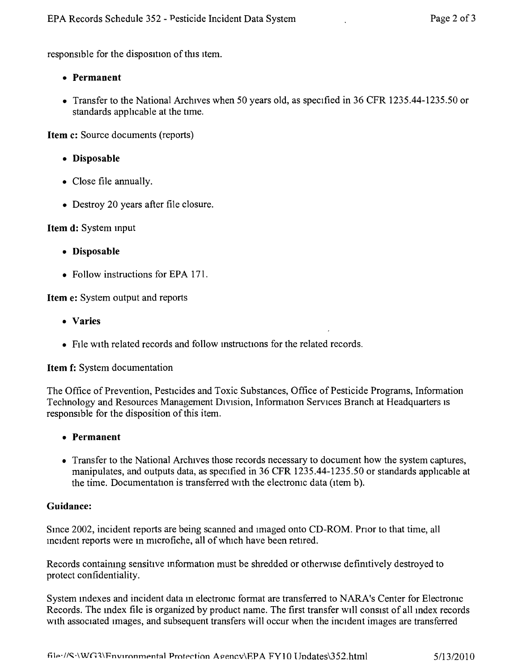responsible for the disposition of this item.

- **• Permanent**
- Transfer to the National Archives when 50 years old, as specified in 36 CFR 1235.44-1235.50 or standards applicable at the time.

**Item c:** Source documents (reports)

- **• Disposable**
- Close file annually.
- Destroy 20 years after file closure.

**Item d:** System mput

- **• Disposable**
- Follow instructions for EPA 171.

**Item e:** System output and reports

- **• Varies**
- File with related records and follow instructions for the related records.

#### **Item f:** System documentation

The Office of Prevention, Pesticides and Toxic Substances, Office of Pesticide Programs, Information Technology and Resources Management Division, Information Services Branch at Headquarters IS responsible for the disposition of this item.

- **• Permanent**
- Transfer to the National Archives those records necessary to document how the system captures, manipulates, and outputs data, as specified in 36 CFR 1235.44-1235.50 or standards apphcable at the time. Documentation is transferred with the electronic data (item b).

#### **Guidance:**

Since 2002, incident reports are being scanned and imaged onto CD-ROM. Prior to that time, all incident reports were in microfiche, all of which have been retired.

Records containing sensitive information must be shredded or otherwise definitively destroyed to protect confidentiality.

System indexes and incident data in electronic format are transferred to NARA's Center for Electronic Records. The index file is organized by product name. The first transfer will consist of all index records with associated images, and subsequent transfers will occur when the incident images are transferred